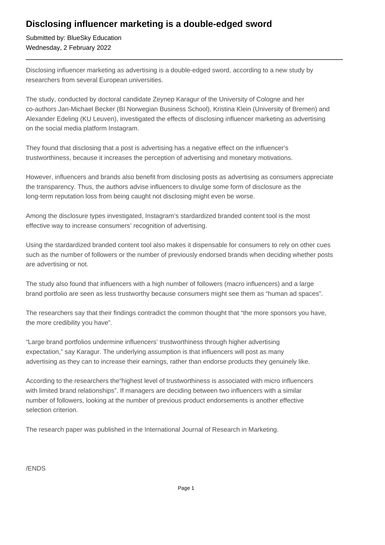## **Disclosing influencer marketing is a double-edged sword**

Submitted by: BlueSky Education Wednesday, 2 February 2022

Disclosing influencer marketing as advertising is a double-edged sword, according to a new study by researchers from several European universities.

The study, conducted by doctoral candidate Zeynep Karagur of the University of Cologne and her co-authors Jan-Michael Becker (BI Norwegian Business School), Kristina Klein (University of Bremen) and Alexander Edeling (KU Leuven), investigated the effects of disclosing influencer marketing as advertising on the social media platform Instagram.

They found that disclosing that a post is advertising has a negative effect on the influencer's trustworthiness, because it increases the perception of advertising and monetary motivations.

However, influencers and brands also benefit from disclosing posts as advertising as consumers appreciate the transparency. Thus, the authors advise influencers to divulge some form of disclosure as the long-term reputation loss from being caught not disclosing might even be worse.

Among the disclosure types investigated, Instagram's stardardized branded content tool is the most effective way to increase consumers' recognition of advertising.

Using the stardardized branded content tool also makes it dispensable for consumers to rely on other cues such as the number of followers or the number of previously endorsed brands when deciding whether posts are advertising or not.

The study also found that influencers with a high number of followers (macro influencers) and a large brand portfolio are seen as less trustworthy because consumers might see them as "human ad spaces".

The researchers say that their findings contradict the common thought that "the more sponsors you have, the more credibility you have".

"Large brand portfolios undermine influencers' trustworthiness through higher advertising expectation," say Karagur. The underlying assumption is that influencers will post as many advertising as they can to increase their earnings, rather than endorse products they genuinely like.

According to the researchers the"highest level of trustworthiness is associated with micro influencers with limited brand relationships". If managers are deciding between two influencers with a similar number of followers, looking at the number of previous product endorsements is another effective selection criterion.

The research paper was published in the International Journal of Research in Marketing.